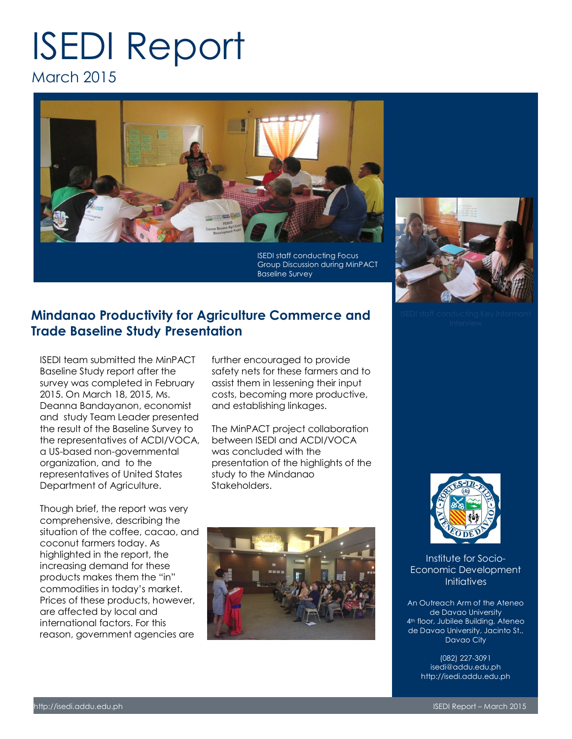# ISEDI Report March 2015



ISEDI staff conducting Focus Group Discussion during MinPACT Baseline Survey

## **Mindanao Productivity for Agriculture Commerce and Trade Baseline Study Presentation**

ISEDI team submitted the MinPACT Baseline Study report after the survey was completed in February 2015. On March 18, 2015, Ms. Deanna Bandayanon, economist and study Team Leader presented the result of the Baseline Survey to the representatives of ACDI/VOCA, a US-based non-governmental organization, and to the representatives of United States Department of Agriculture.

Though brief, the report was very comprehensive, describing the situation of the coffee, cacao, and coconut farmers today. As highlighted in the report, the increasing demand for these products makes them the "in" commodities in today's market. Prices of these products, however, are affected by local and international factors. For this reason, government agencies are

further encouraged to provide safety nets for these farmers and to assist them in lessening their input costs, becoming more productive, and establishing linkages.

The MinPACT project collaboration between ISEDI and ACDI/VOCA was concluded with the presentation of the highlights of the study to the Mindanao Stakeholders.







Institute for Socio-Economic Development **Initiatives** 

An Outreach Arm of the Ateneo de Davao University 4<sup>th</sup> floor, Jubilee Building, Ateneo de Davao University, Jacinto St., Davao City

> (082) 227-3091 isedi@addu.edu.ph http://isedi.addu.edu.ph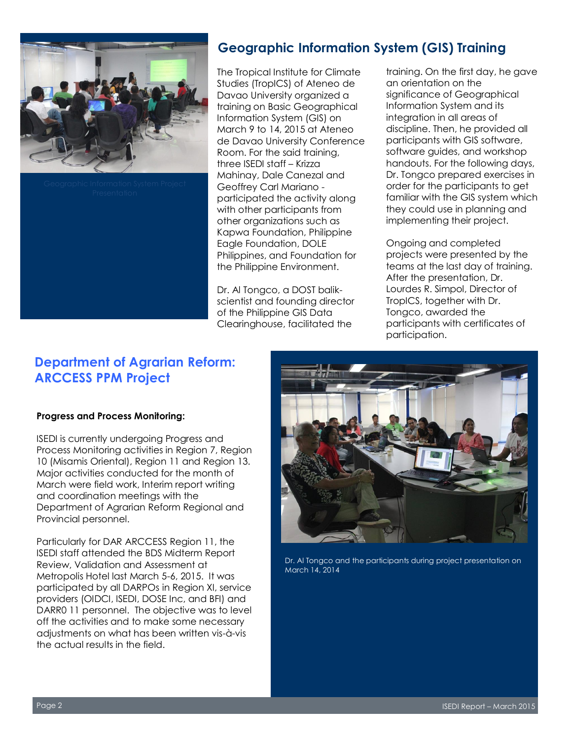



# **Geographic Information System (GIS) Training**

The Tropical Institute for Climate Studies (TropICS) of Ateneo de Davao University organized a training on Basic Geographical Information System (GIS) on March 9 to 14, 2015 at Ateneo de Davao University Conference Room. For the said training, three ISEDI staff – Krizza Mahinay, Dale Canezal and Geoffrey Carl Mariano participated the activity along with other participants from other organizations such as Kapwa Foundation, Philippine Eagle Foundation, DOLE Philippines, and Foundation for the Philippine Environment.

Dr. Al Tongco, a DOST balikscientist and founding director of the Philippine GIS Data Clearinghouse, facilitated the

training. On the first day, he gave an orientation on the significance of Geographical Information System and its integration in all areas of discipline. Then, he provided all participants with GIS software, software guides, and workshop handouts. For the following days, Dr. Tongco prepared exercises in order for the participants to get familiar with the GIS system which they could use in planning and implementing their project.

Ongoing and completed projects were presented by the teams at the last day of training. After the presentation, Dr. Lourdes R. Simpol, Director of TropICS, together with Dr. Tongco, awarded the participants with certificates of participation.

# **Department of Agrarian Reform: ARCCESS PPM Project**

## **Progress and Process Monitoring:**

ISEDI is currently undergoing Progress and Process Monitoring activities in Region 7, Region 10 (Misamis Oriental), Region 11 and Region 13. Major activities conducted for the month of March were field work, Interim report writing and coordination meetings with the Department of Agrarian Reform Regional and Provincial personnel.

Particularly for DAR ARCCESS Region 11, the ISEDI staff attended the BDS Midterm Report Review, Validation and Assessment at Metropolis Hotel last March 5-6, 2015. It was participated by all DARPOs in Region XI, service providers (OIDCI, ISEDI, DOSE Inc, and BFI) and DARR0 11 personnel. The objective was to level off the activities and to make some necessary adjustments on what has been written vis-à-vis the actual results in the field.



Dr. Al Tongco and the participants during project presentation on March 14, 2014